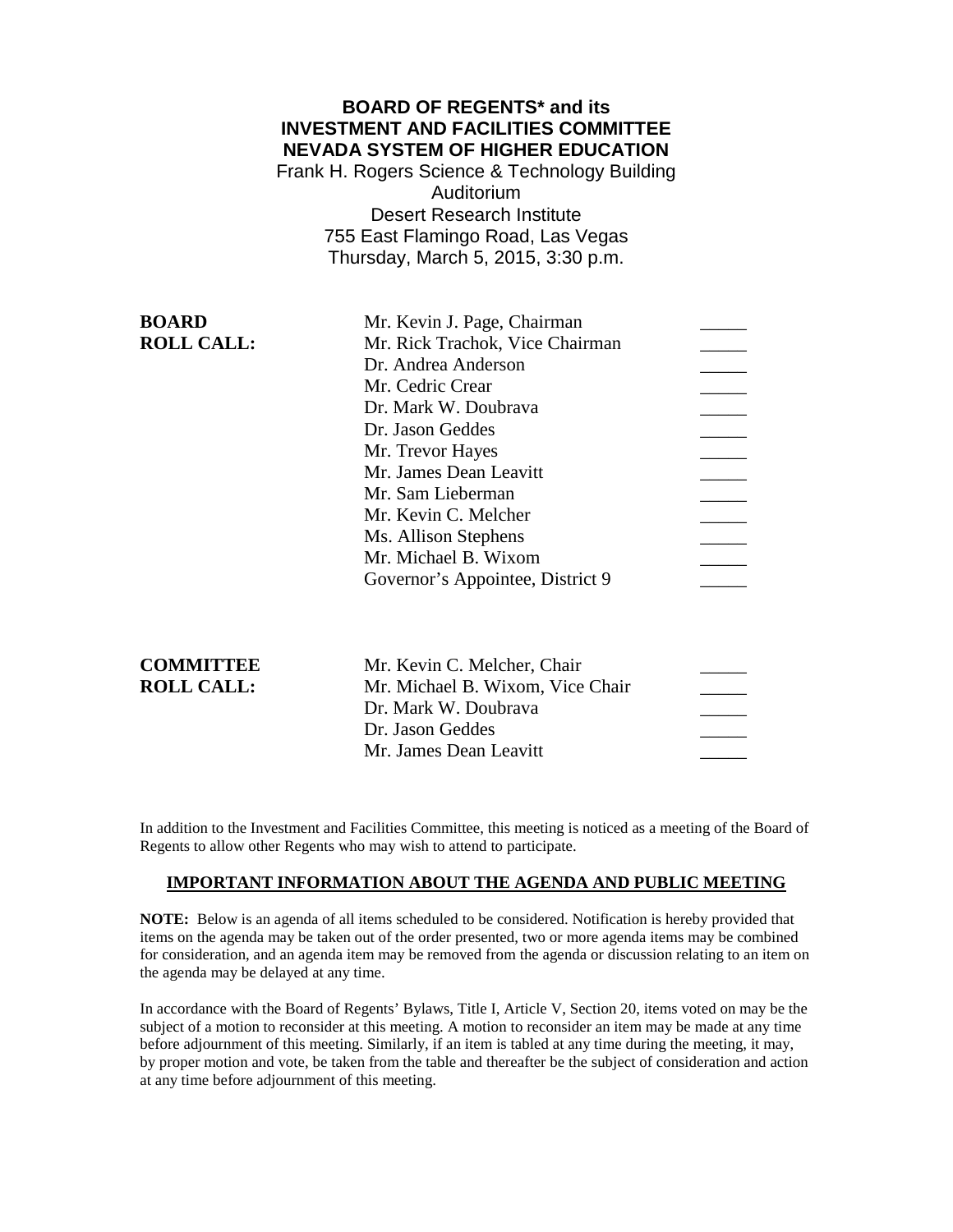# **BOARD OF REGENTS\* and its INVESTMENT AND FACILITIES COMMITTEE NEVADA SYSTEM OF HIGHER EDUCATION**

Frank H. Rogers Science & Technology Building Auditorium Desert Research Institute 755 East Flamingo Road, Las Vegas Thursday, March 5, 2015, 3:30 p.m.

| <b>BOARD</b>      | Mr. Kevin J. Page, Chairman      |  |
|-------------------|----------------------------------|--|
| <b>ROLL CALL:</b> | Mr. Rick Trachok, Vice Chairman  |  |
|                   | Dr. Andrea Anderson              |  |
|                   | Mr. Cedric Crear                 |  |
|                   | Dr. Mark W. Doubrava             |  |
|                   | Dr. Jason Geddes                 |  |
|                   | Mr. Trevor Hayes                 |  |
|                   | Mr. James Dean Leavitt           |  |
|                   | Mr. Sam Lieberman                |  |
|                   | Mr. Kevin C. Melcher             |  |
|                   | Ms. Allison Stephens             |  |
|                   | Mr. Michael B. Wixom             |  |
|                   | Governor's Appointee, District 9 |  |
|                   |                                  |  |

| <b>COMMITTEE</b>  |  |
|-------------------|--|
| <b>ROLL CALL:</b> |  |

| Mr. Michael B. Wixom, Vice Chair |                             |
|----------------------------------|-----------------------------|
| Dr. Mark W. Doubraya             |                             |
| Dr. Jason Geddes                 |                             |
| Mr. James Dean Leavitt           |                             |
|                                  | Mr. Kevin C. Melcher, Chair |

In addition to the Investment and Facilities Committee, this meeting is noticed as a meeting of the Board of Regents to allow other Regents who may wish to attend to participate.

### **IMPORTANT INFORMATION ABOUT THE AGENDA AND PUBLIC MEETING**

**NOTE:** Below is an agenda of all items scheduled to be considered. Notification is hereby provided that items on the agenda may be taken out of the order presented, two or more agenda items may be combined for consideration, and an agenda item may be removed from the agenda or discussion relating to an item on the agenda may be delayed at any time.

In accordance with the Board of Regents' Bylaws, Title I, Article V, Section 20, items voted on may be the subject of a motion to reconsider at this meeting. A motion to reconsider an item may be made at any time before adjournment of this meeting. Similarly, if an item is tabled at any time during the meeting, it may, by proper motion and vote, be taken from the table and thereafter be the subject of consideration and action at any time before adjournment of this meeting.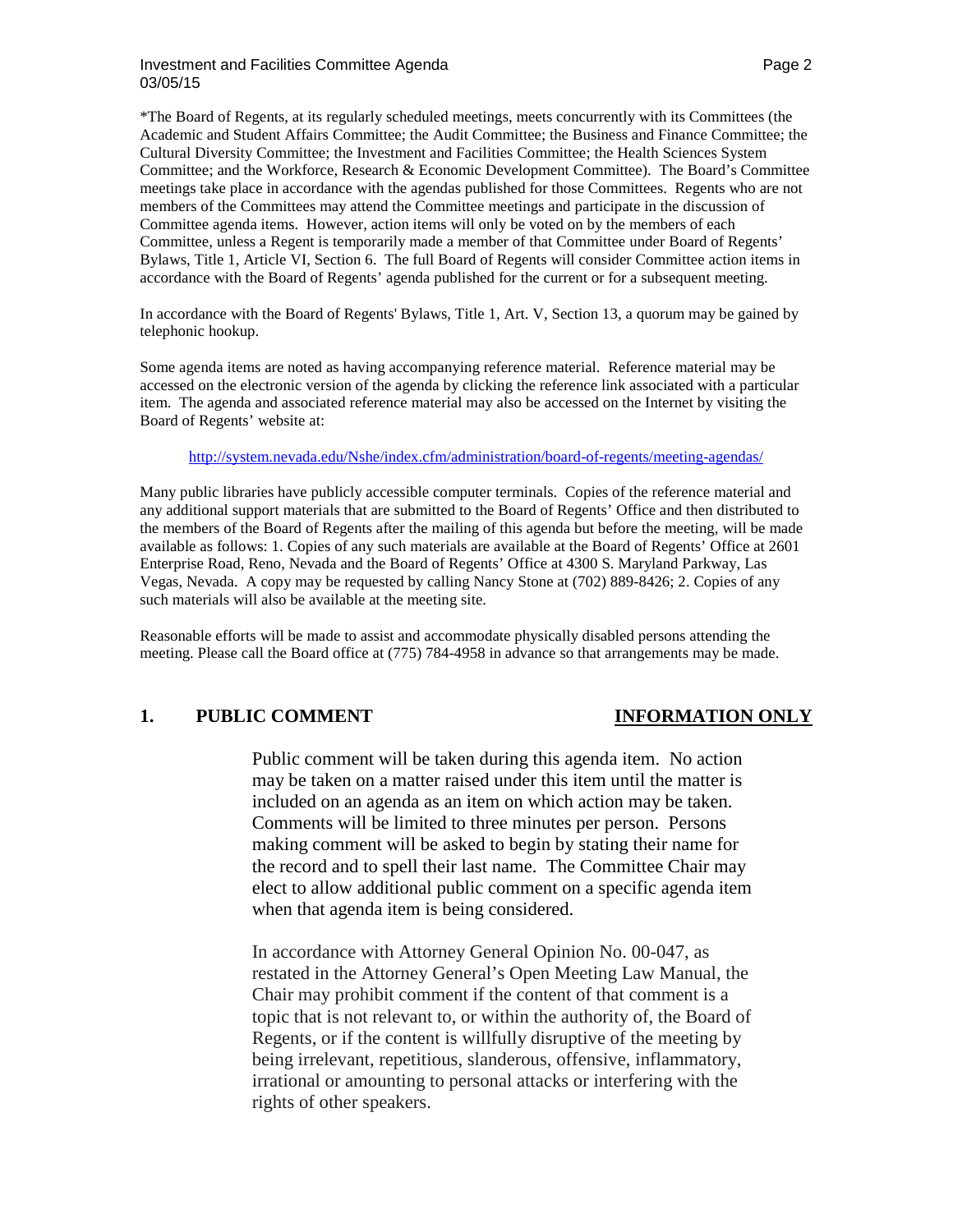### Investment and Facilities Committee Agenda **Page 2** According to the Page 2 03/05/15

\*The Board of Regents, at its regularly scheduled meetings, meets concurrently with its Committees (the Academic and Student Affairs Committee; the Audit Committee; the Business and Finance Committee; the Cultural Diversity Committee; the Investment and Facilities Committee; the Health Sciences System Committee; and the Workforce, Research & Economic Development Committee). The Board's Committee meetings take place in accordance with the agendas published for those Committees. Regents who are not members of the Committees may attend the Committee meetings and participate in the discussion of Committee agenda items. However, action items will only be voted on by the members of each Committee, unless a Regent is temporarily made a member of that Committee under Board of Regents' Bylaws, Title 1, Article VI, Section 6. The full Board of Regents will consider Committee action items in accordance with the Board of Regents' agenda published for the current or for a subsequent meeting.

In accordance with the Board of Regents' Bylaws, Title 1, Art. V, Section 13, a quorum may be gained by telephonic hookup.

Some agenda items are noted as having accompanying reference material. Reference material may be accessed on the electronic version of the agenda by clicking the reference link associated with a particular item. The agenda and associated reference material may also be accessed on the Internet by visiting the Board of Regents' website at:

<http://system.nevada.edu/Nshe/index.cfm/administration/board-of-regents/meeting-agendas/>

Many public libraries have publicly accessible computer terminals. Copies of the reference material and any additional support materials that are submitted to the Board of Regents' Office and then distributed to the members of the Board of Regents after the mailing of this agenda but before the meeting, will be made available as follows: 1. Copies of any such materials are available at the Board of Regents' Office at 2601 Enterprise Road, Reno, Nevada and the Board of Regents' Office at 4300 S. Maryland Parkway, Las Vegas, Nevada. A copy may be requested by calling Nancy Stone at (702) 889-8426; 2. Copies of any such materials will also be available at the meeting site.

Reasonable efforts will be made to assist and accommodate physically disabled persons attending the meeting. Please call the Board office at (775) 784-4958 in advance so that arrangements may be made.

# **1. PUBLIC COMMENT INFORMATION ONLY**

Public comment will be taken during this agenda item. No action may be taken on a matter raised under this item until the matter is included on an agenda as an item on which action may be taken. Comments will be limited to three minutes per person. Persons making comment will be asked to begin by stating their name for the record and to spell their last name. The Committee Chair may elect to allow additional public comment on a specific agenda item when that agenda item is being considered.

In accordance with Attorney General Opinion No. 00-047, as restated in the Attorney General's Open Meeting Law Manual, the Chair may prohibit comment if the content of that comment is a topic that is not relevant to, or within the authority of, the Board of Regents, or if the content is willfully disruptive of the meeting by being irrelevant, repetitious, slanderous, offensive, inflammatory, irrational or amounting to personal attacks or interfering with the rights of other speakers.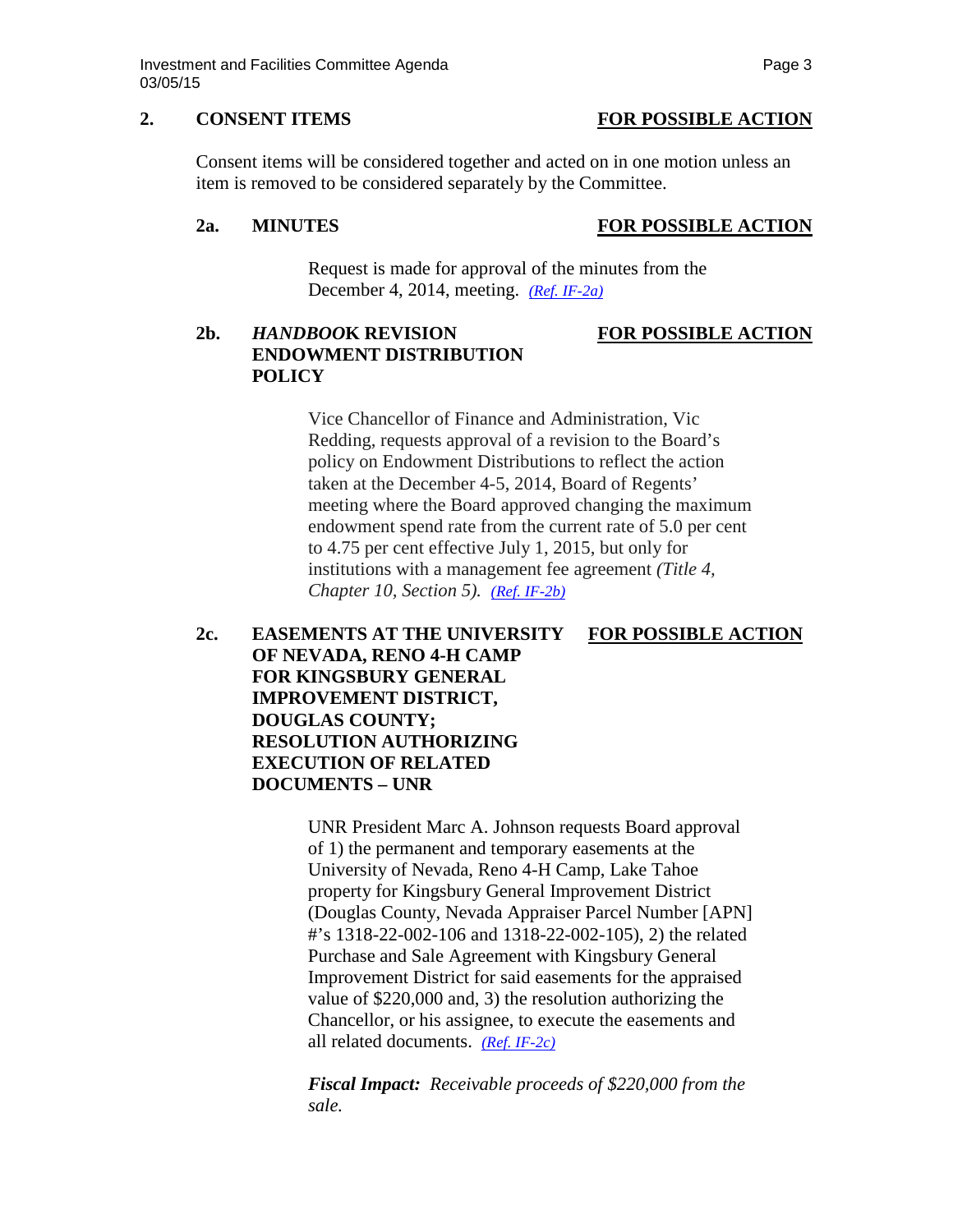### **2. CONSENT ITEMS FOR POSSIBLE ACTION**

Consent items will be considered together and acted on in one motion unless an item is removed to be considered separately by the Committee.

### **2a. MINUTES FOR POSSIBLE ACTION**

Request is made for approval of the minutes from the December 4, 2014, meeting. *[\(Ref. IF-2a\)](http://system.nevada.edu/tasks/sites/Nshe/assets/File/BoardOfRegents/Agendas/2015/mar-mtgs/if-refs/IF-2a.pdf)*

# **2b.** *HANDBOO***K REVISION FOR POSSIBLE ACTION ENDOWMENT DISTRIBUTION POLICY**

Vice Chancellor of Finance and Administration, Vic Redding, requests approval of a revision to the Board's policy on Endowment Distributions to reflect the action taken at the December 4-5, 2014, Board of Regents' meeting where the Board approved changing the maximum endowment spend rate from the current rate of 5.0 per cent to 4.75 per cent effective July 1, 2015, but only for institutions with a management fee agreement *(Title 4, Chapter 10, Section 5). [\(Ref. IF-2b\)](http://system.nevada.edu/tasks/sites/Nshe/assets/File/BoardOfRegents/Agendas/2015/mar-mtgs/if-refs/IF-2b.pdf)*

**2c. EASEMENTS AT THE UNIVERSITY FOR POSSIBLE ACTION OF NEVADA, RENO 4-H CAMP FOR KINGSBURY GENERAL IMPROVEMENT DISTRICT, DOUGLAS COUNTY; RESOLUTION AUTHORIZING EXECUTION OF RELATED DOCUMENTS – UNR** 

> UNR President Marc A. Johnson requests Board approval of 1) the permanent and temporary easements at the University of Nevada, Reno 4-H Camp, Lake Tahoe property for Kingsbury General Improvement District (Douglas County, Nevada Appraiser Parcel Number [APN] #'s 1318-22-002-106 and 1318-22-002-105), 2) the related Purchase and Sale Agreement with Kingsbury General Improvement District for said easements for the appraised value of \$220,000 and, 3) the resolution authorizing the Chancellor, or his assignee, to execute the easements and all related documents. *[\(Ref. IF-2c\)](http://system.nevada.edu/tasks/sites/Nshe/assets/File/BoardOfRegents/Agendas/2015/mar-mtgs/if-refs/IF-2c.pdf)*

*Fiscal Impact: Receivable proceeds of \$220,000 from the sale.*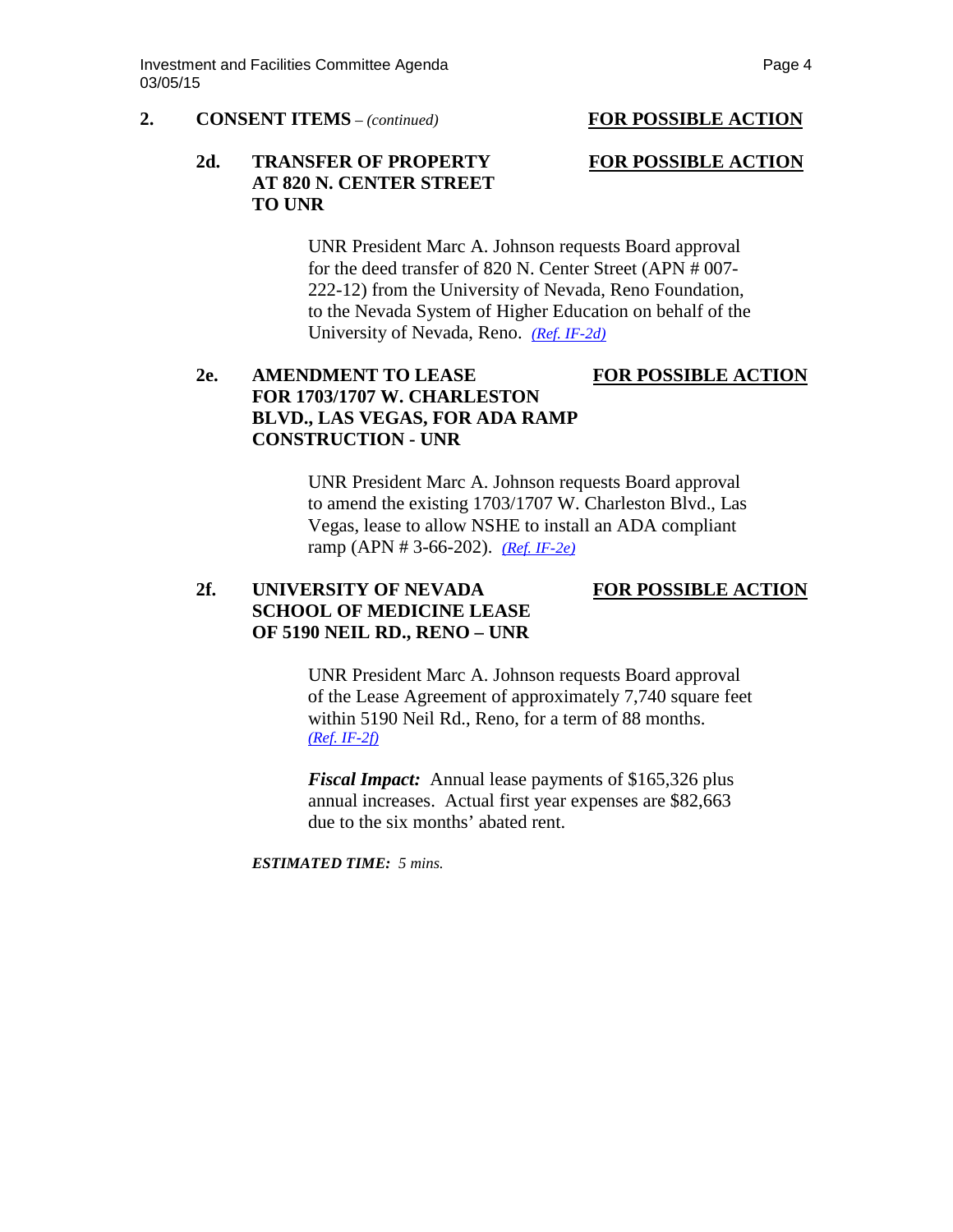### **2. CONSENT ITEMS** *– (continued)* **FOR POSSIBLE ACTION**

## 2d. **TRANSFER OF PROPERTY FOR POSSIBLE ACTION AT 820 N. CENTER STREET TO UNR**

UNR President Marc A. Johnson requests Board approval for the deed transfer of 820 N. Center Street (APN # 007- 222-12) from the University of Nevada, Reno Foundation, to the Nevada System of Higher Education on behalf of the University of Nevada, Reno. *[\(Ref. IF-2d\)](http://system.nevada.edu/tasks/sites/Nshe/assets/File/BoardOfRegents/Agendas/2015/mar-mtgs/if-refs/IF-2d.pdf)*

# **2e. AMENDMENT TO LEASE FOR POSSIBLE ACTION FOR 1703/1707 W. CHARLESTON BLVD., LAS VEGAS, FOR ADA RAMP CONSTRUCTION - UNR**

UNR President Marc A. Johnson requests Board approval to amend the existing 1703/1707 W. Charleston Blvd., Las Vegas, lease to allow NSHE to install an ADA compliant ramp (APN # 3-66-202). *[\(Ref. IF-2e\)](http://system.nevada.edu/tasks/sites/Nshe/assets/File/BoardOfRegents/Agendas/2015/mar-mtgs/if-refs/IF-2e.pdf)*

# 2f. UNIVERSITY OF NEVADA FOR POSSIBLE ACTION **SCHOOL OF MEDICINE LEASE OF 5190 NEIL RD., RENO – UNR**

UNR President Marc A. Johnson requests Board approval of the Lease Agreement of approximately 7,740 square feet within 5190 Neil Rd., Reno, for a term of 88 months. *[\(Ref. IF-2f\)](http://system.nevada.edu/tasks/sites/Nshe/assets/File/BoardOfRegents/Agendas/2015/mar-mtgs/if-refs/IF-2f.pdf)*

*Fiscal Impact:* Annual lease payments of \$165,326 plus annual increases. Actual first year expenses are \$82,663 due to the six months' abated rent.

*ESTIMATED TIME: 5 mins.*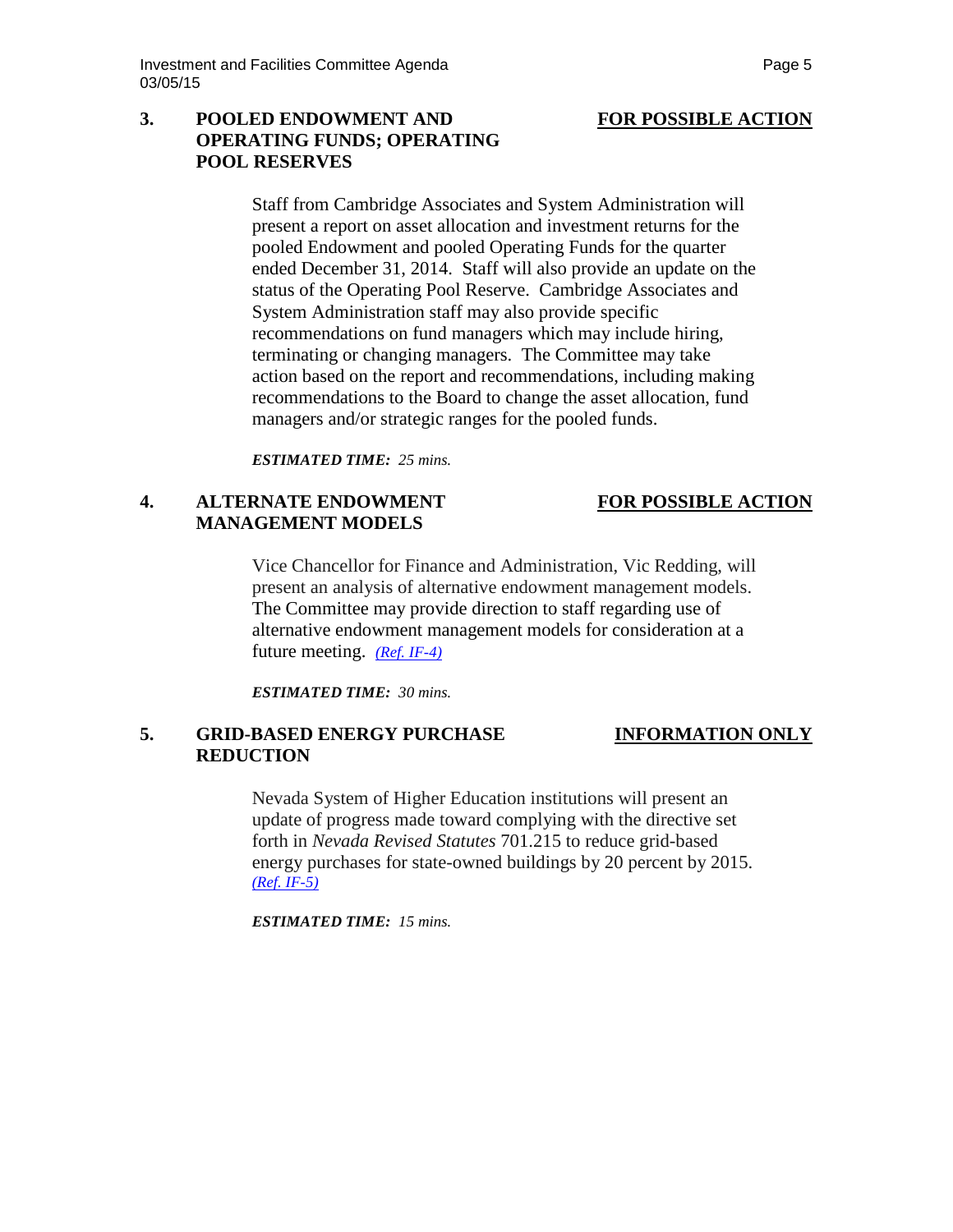## **3. POOLED ENDOWMENT AND FOR POSSIBLE ACTION OPERATING FUNDS; OPERATING POOL RESERVES**

Staff from Cambridge Associates and System Administration will present a report on asset allocation and investment returns for the pooled Endowment and pooled Operating Funds for the quarter ended December 31, 2014. Staff will also provide an update on the status of the Operating Pool Reserve. Cambridge Associates and System Administration staff may also provide specific recommendations on fund managers which may include hiring, terminating or changing managers. The Committee may take action based on the report and recommendations, including making recommendations to the Board to change the asset allocation, fund managers and/or strategic ranges for the pooled funds.

*ESTIMATED TIME: 25 mins.*

## **4. ALTERNATE ENDOWMENT FOR POSSIBLE ACTION MANAGEMENT MODELS**

Vice Chancellor for Finance and Administration, Vic Redding, will present an analysis of alternative endowment management models. The Committee may provide direction to staff regarding use of alternative endowment management models for consideration at a future meeting. *[\(Ref. IF-4\)](http://system.nevada.edu/tasks/sites/Nshe/assets/File/BoardOfRegents/Agendas/2015/mar-mtgs/if-refs/IF-4.pdf)*

*ESTIMATED TIME: 30 mins.*

### **5. GRID-BASED ENERGY PURCHASE INFORMATION ONLY REDUCTION**

Nevada System of Higher Education institutions will present an update of progress made toward complying with the directive set forth in *Nevada Revised Statutes* 701.215 to reduce grid-based energy purchases for state-owned buildings by 20 percent by 2015. *[\(Ref. IF-5\)](http://system.nevada.edu/tasks/sites/Nshe/assets/File/BoardOfRegents/Agendas/2015/mar-mtgs/if-refs/IF-5.pdf)*

*ESTIMATED TIME: 15 mins.*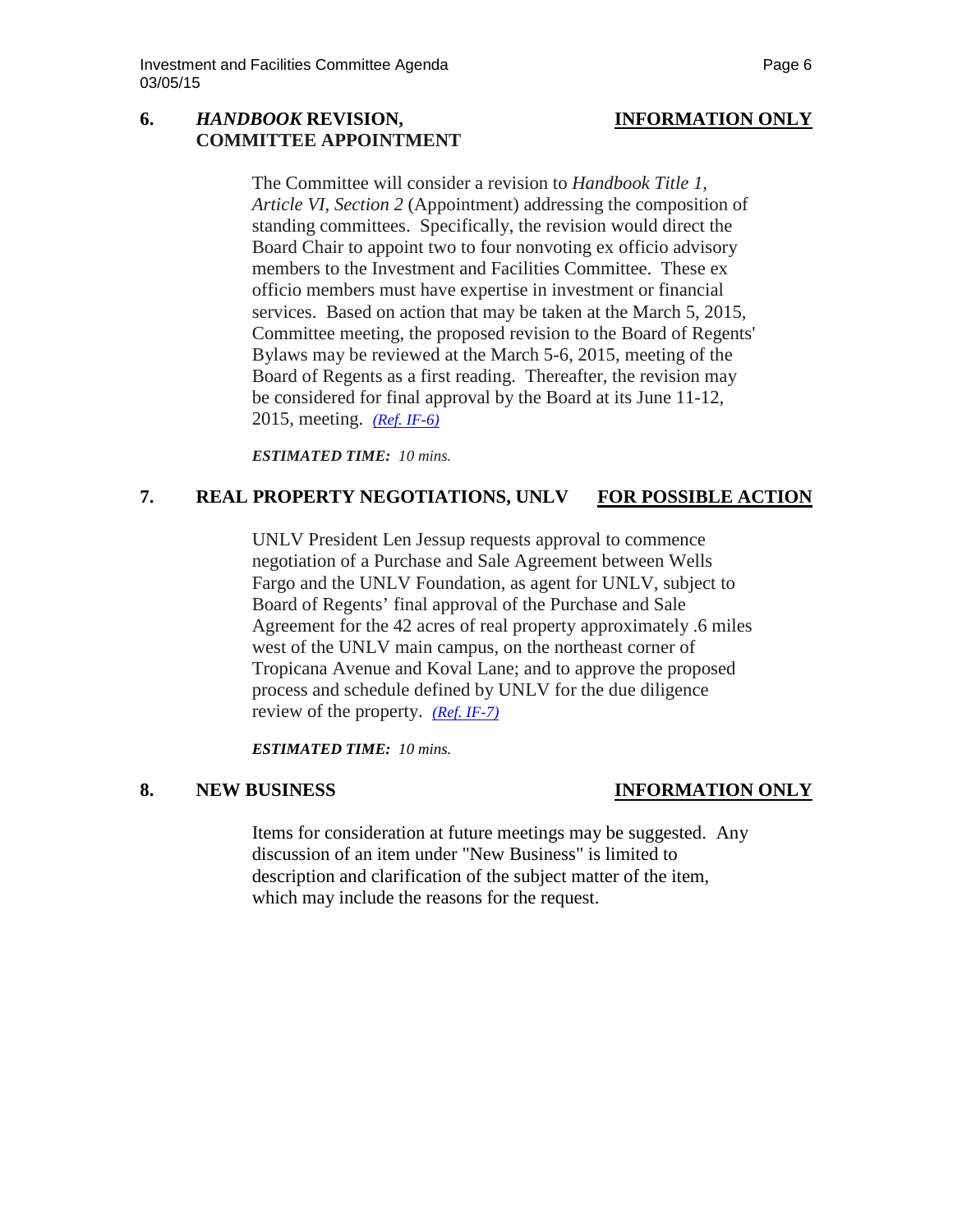## **6.** *HANDBOOK* **REVISION, INFORMATION ONLY COMMITTEE APPOINTMENT**

The Committee will consider a revision to *Handbook Title 1, Article VI, Section 2* (Appointment) addressing the composition of standing committees. Specifically, the revision would direct the Board Chair to appoint two to four nonvoting ex officio advisory members to the Investment and Facilities Committee. These ex officio members must have expertise in investment or financial services. Based on action that may be taken at the March 5, 2015, Committee meeting, the proposed revision to the Board of Regents' Bylaws may be reviewed at the March 5-6, 2015, meeting of the Board of Regents as a first reading. Thereafter, the revision may be considered for final approval by the Board at its June 11-12, 2015, meeting. *[\(Ref. IF-6\)](http://system.nevada.edu/tasks/sites/Nshe/assets/File/BoardOfRegents/Agendas/2015/mar-mtgs/if-refs/IF-6.pdf)*

*ESTIMATED TIME: 10 mins.*

## **7. REAL PROPERTY NEGOTIATIONS, UNLV FOR POSSIBLE ACTION**

UNLV President Len Jessup requests approval to commence negotiation of a Purchase and Sale Agreement between Wells Fargo and the UNLV Foundation, as agent for UNLV, subject to Board of Regents' final approval of the Purchase and Sale Agreement for the 42 acres of real property approximately .6 miles west of the UNLV main campus, on the northeast corner of Tropicana Avenue and Koval Lane; and to approve the proposed process and schedule defined by UNLV for the due diligence review of the property. *[\(Ref. IF-7\)](http://system.nevada.edu/tasks/sites/Nshe/assets/File/BoardOfRegents/Agendas/2015/mar-mtgs/if-refs/IF-7.pdf)*

*ESTIMATED TIME: 10 mins.*

# **8. NEW BUSINESS INFORMATION ONLY**

Items for consideration at future meetings may be suggested. Any discussion of an item under "New Business" is limited to description and clarification of the subject matter of the item, which may include the reasons for the request.